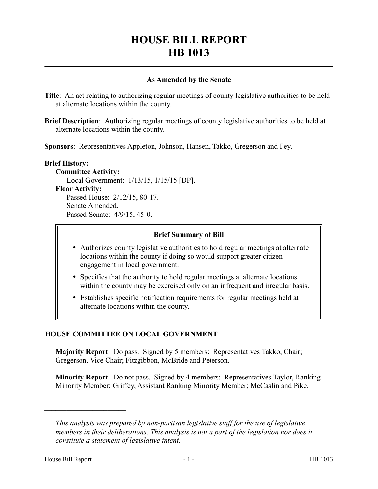# **HOUSE BILL REPORT HB 1013**

## **As Amended by the Senate**

**Title**: An act relating to authorizing regular meetings of county legislative authorities to be held at alternate locations within the county.

**Brief Description**: Authorizing regular meetings of county legislative authorities to be held at alternate locations within the county.

**Sponsors**: Representatives Appleton, Johnson, Hansen, Takko, Gregerson and Fey.

# **Brief History: Committee Activity:** Local Government: 1/13/15, 1/15/15 [DP]. **Floor Activity:** Passed House: 2/12/15, 80-17. Senate Amended. Passed Senate: 4/9/15, 45-0.

### **Brief Summary of Bill**

- Authorizes county legislative authorities to hold regular meetings at alternate locations within the county if doing so would support greater citizen engagement in local government.
- Specifies that the authority to hold regular meetings at alternate locations within the county may be exercised only on an infrequent and irregular basis.
- Establishes specific notification requirements for regular meetings held at alternate locations within the county.

## **HOUSE COMMITTEE ON LOCAL GOVERNMENT**

**Majority Report**: Do pass. Signed by 5 members: Representatives Takko, Chair; Gregerson, Vice Chair; Fitzgibbon, McBride and Peterson.

**Minority Report**: Do not pass. Signed by 4 members: Representatives Taylor, Ranking Minority Member; Griffey, Assistant Ranking Minority Member; McCaslin and Pike.

––––––––––––––––––––––

*This analysis was prepared by non-partisan legislative staff for the use of legislative members in their deliberations. This analysis is not a part of the legislation nor does it constitute a statement of legislative intent.*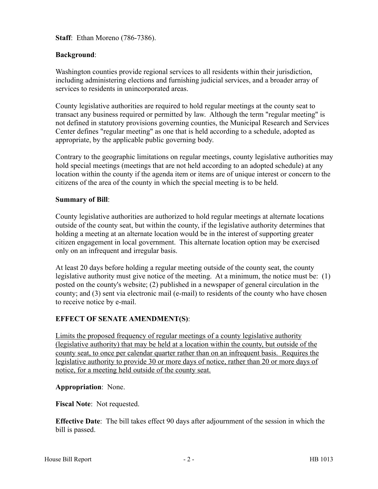**Staff**: Ethan Moreno (786-7386).

# **Background**:

Washington counties provide regional services to all residents within their jurisdiction, including administering elections and furnishing judicial services, and a broader array of services to residents in unincorporated areas.

County legislative authorities are required to hold regular meetings at the county seat to transact any business required or permitted by law. Although the term "regular meeting" is not defined in statutory provisions governing counties, the Municipal Research and Services Center defines "regular meeting" as one that is held according to a schedule, adopted as appropriate, by the applicable public governing body.

Contrary to the geographic limitations on regular meetings, county legislative authorities may hold special meetings (meetings that are not held according to an adopted schedule) at any location within the county if the agenda item or items are of unique interest or concern to the citizens of the area of the county in which the special meeting is to be held.

### **Summary of Bill**:

County legislative authorities are authorized to hold regular meetings at alternate locations outside of the county seat, but within the county, if the legislative authority determines that holding a meeting at an alternate location would be in the interest of supporting greater citizen engagement in local government. This alternate location option may be exercised only on an infrequent and irregular basis.

At least 20 days before holding a regular meeting outside of the county seat, the county legislative authority must give notice of the meeting. At a minimum, the notice must be: (1) posted on the county's website; (2) published in a newspaper of general circulation in the county; and (3) sent via electronic mail (e-mail) to residents of the county who have chosen to receive notice by e-mail.

## **EFFECT OF SENATE AMENDMENT(S)**:

Limits the proposed frequency of regular meetings of a county legislative authority (legislative authority) that may be held at a location within the county, but outside of the county seat, to once per calendar quarter rather than on an infrequent basis. Requires the legislative authority to provide 30 or more days of notice, rather than 20 or more days of notice, for a meeting held outside of the county seat.

## **Appropriation**: None.

**Fiscal Note**: Not requested.

**Effective Date**: The bill takes effect 90 days after adjournment of the session in which the bill is passed.